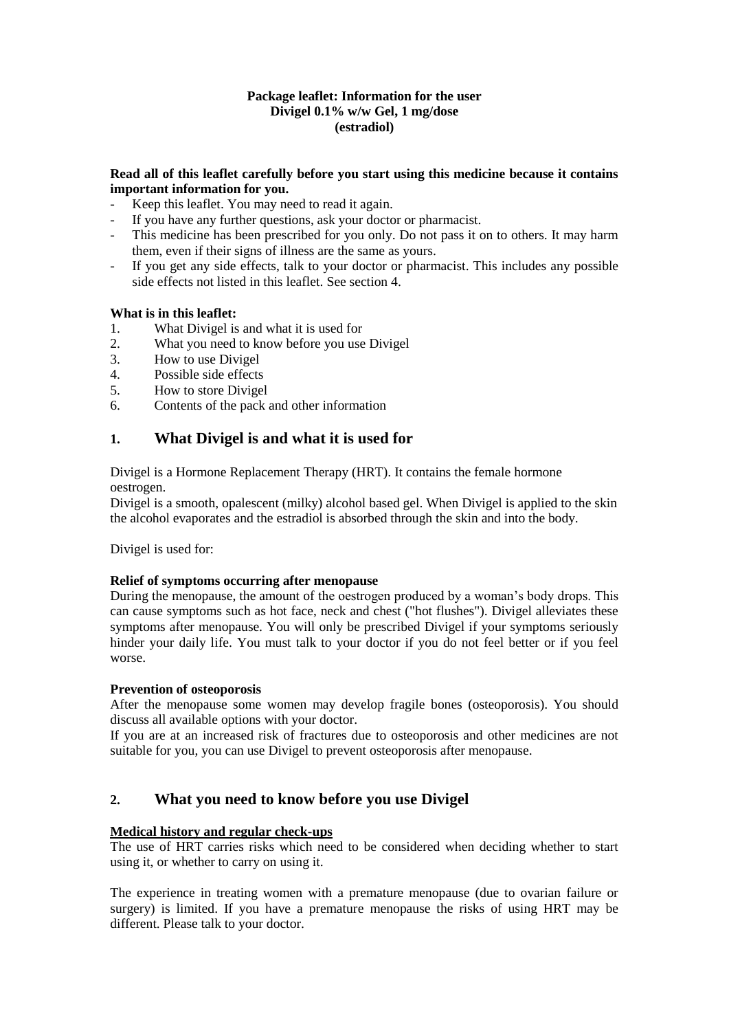### **Package leaflet: Information for the user Divigel 0.1% w/w Gel, 1 mg/dose (estradiol)**

### **Read all of this leaflet carefully before you start using this medicine because it contains important information for you.**

- Keep this leaflet. You may need to read it again.
- If you have any further questions, ask your doctor or pharmacist.
- This medicine has been prescribed for you only. Do not pass it on to others. It may harm them, even if their signs of illness are the same as yours.
- If you get any side effects, talk to your doctor or pharmacist. This includes any possible side effects not listed in this leaflet. See section 4.

## **What is in this leaflet:**

- 1. What Divigel is and what it is used for
- 2. What you need to know before you use Divigel
- 3. How to use Divigel
- 4. Possible side effects
- 5. How to store Divigel
- 6. Contents of the pack and other information

# **1. What Divigel is and what it is used for**

Divigel is a Hormone Replacement Therapy (HRT). It contains the female hormone oestrogen.

Divigel is a smooth, opalescent (milky) alcohol based gel. When Divigel is applied to the skin the alcohol evaporates and the estradiol is absorbed through the skin and into the body.

Divigel is used for:

### **Relief of symptoms occurring after menopause**

During the menopause, the amount of the oestrogen produced by a woman's body drops. This can cause symptoms such as hot face, neck and chest ("hot flushes"). Divigel alleviates these symptoms after menopause. You will only be prescribed Divigel if your symptoms seriously hinder your daily life. You must talk to your doctor if you do not feel better or if you feel worse.

### **Prevention of osteoporosis**

After the menopause some women may develop fragile bones (osteoporosis). You should discuss all available options with your doctor.

If you are at an increased risk of fractures due to osteoporosis and other medicines are not suitable for you, you can use Divigel to prevent osteoporosis after menopause.

# **2. What you need to know before you use Divigel**

### **Medical history and regular check-ups**

The use of HRT carries risks which need to be considered when deciding whether to start using it, or whether to carry on using it.

The experience in treating women with a premature menopause (due to ovarian failure or surgery) is limited. If you have a premature menopause the risks of using HRT may be different. Please talk to your doctor.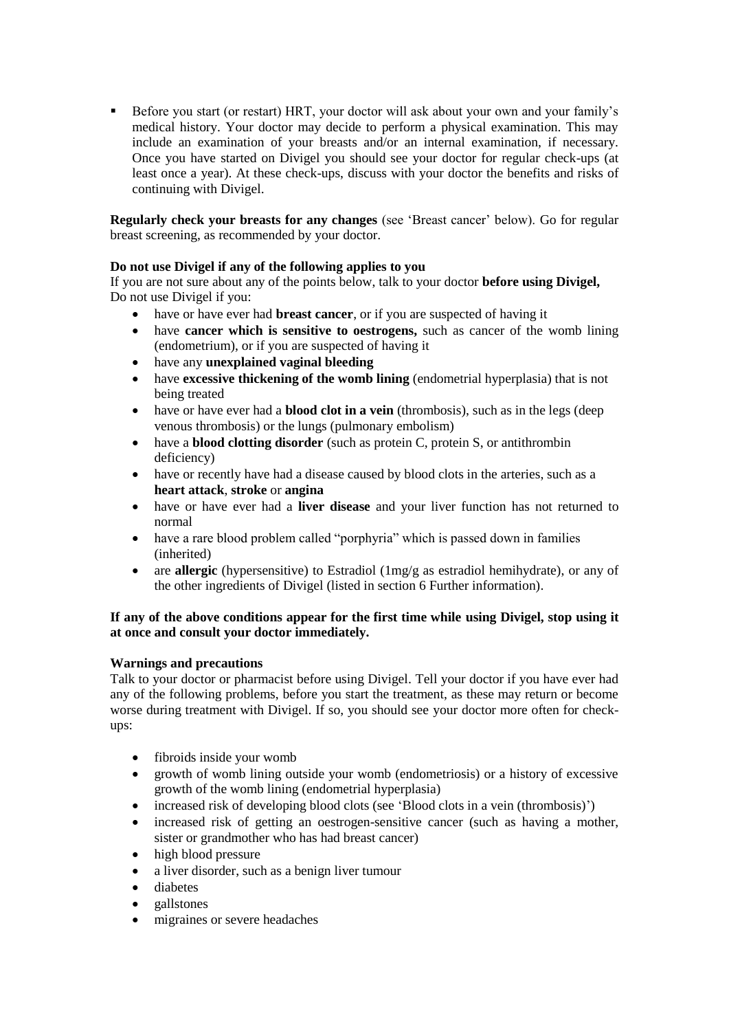Before you start (or restart) HRT, your doctor will ask about your own and your family's medical history. Your doctor may decide to perform a physical examination. This may include an examination of your breasts and/or an internal examination, if necessary. Once you have started on Divigel you should see your doctor for regular check-ups (at least once a year). At these check-ups, discuss with your doctor the benefits and risks of continuing with Divigel.

**Regularly check your breasts for any changes** (see 'Breast cancer' below). Go for regular breast screening, as recommended by your doctor.

# **Do not use Divigel if any of the following applies to you**

If you are not sure about any of the points below, talk to your doctor **before using Divigel,**  Do not use Divigel if you:

- have or have ever had **breast cancer**, or if you are suspected of having it
- have **cancer which is sensitive to oestrogens,** such as cancer of the womb lining (endometrium), or if you are suspected of having it
- have any **unexplained vaginal bleeding**
- have **excessive thickening of the womb lining** (endometrial hyperplasia) that is not being treated
- have or have ever had a **blood clot in a vein** (thrombosis), such as in the legs (deep venous thrombosis) or the lungs (pulmonary embolism)
- have a **blood clotting disorder** (such as protein C, protein S, or antithrombin deficiency)
- have or recently have had a disease caused by blood clots in the arteries, such as a **heart attack**, **stroke** or **angina**
- have or have ever had a **liver disease** and your liver function has not returned to normal
- have a rare blood problem called "porphyria" which is passed down in families (inherited)
- are **allergic** (hypersensitive) to Estradiol (1mg/g as estradiol hemihydrate), or any of the other ingredients of Divigel (listed in section 6 Further information).

## **If any of the above conditions appear for the first time while using Divigel, stop using it at once and consult your doctor immediately.**

### **Warnings and precautions**

Talk to your doctor or pharmacist before using Divigel. Tell your doctor if you have ever had any of the following problems, before you start the treatment, as these may return or become worse during treatment with Divigel. If so, you should see your doctor more often for checkups:

- fibroids inside your womb
- growth of womb lining outside your womb (endometriosis) or a history of excessive growth of the womb lining (endometrial hyperplasia)
- increased risk of developing blood clots (see 'Blood clots in a vein (thrombosis)')
- increased risk of getting an oestrogen-sensitive cancer (such as having a mother, sister or grandmother who has had breast cancer)
- high blood pressure
- a liver disorder, such as a benign liver tumour
- diabetes
- gallstones
- migraines or severe headaches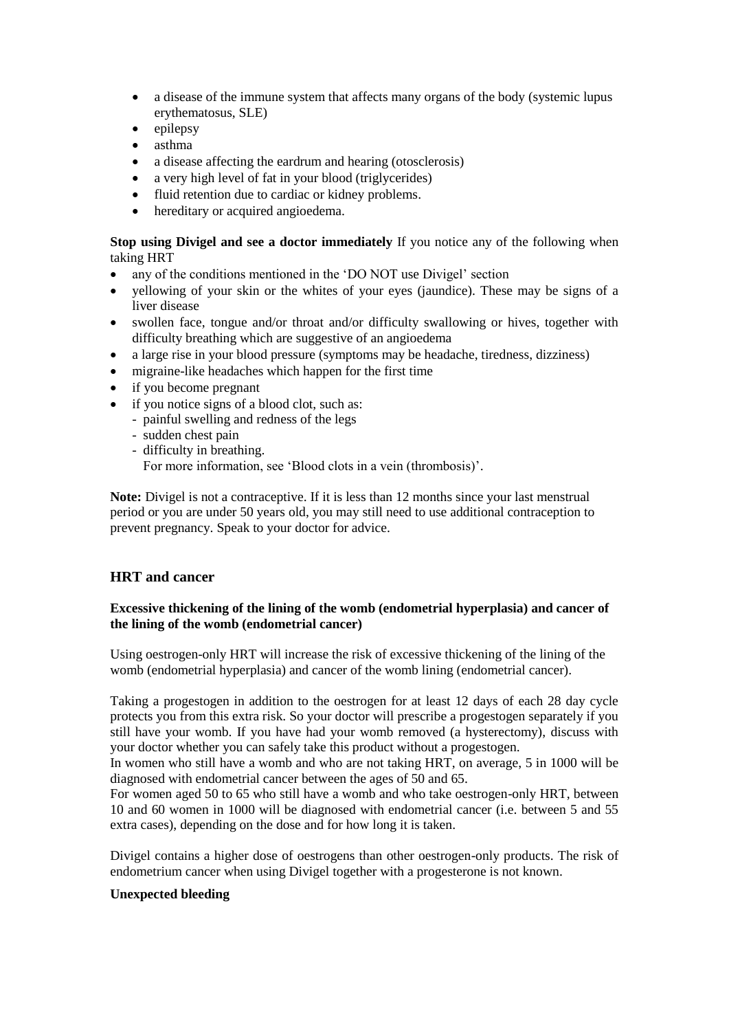- a disease of the immune system that affects many organs of the body (systemic lupus erythematosus, SLE)
- $\bullet$  epilepsy
- asthma
- a disease affecting the eardrum and hearing (otosclerosis)
- a very high level of fat in your blood (triglycerides)
- fluid retention due to cardiac or kidney problems.
- hereditary or acquired angioedema.

### **Stop using Divigel and see a doctor immediately** If you notice any of the following when taking HRT

- any of the conditions mentioned in the 'DO NOT use Divigel' section
- vellowing of your skin or the whites of your eyes (jaundice). These may be signs of a liver disease
- swollen face, tongue and/or throat and/or difficulty swallowing or hives, together with difficulty breathing which are suggestive of an angioedema
- a large rise in your blood pressure (symptoms may be headache, tiredness, dizziness)
- migraine-like headaches which happen for the first time
- if you become pregnant
- if you notice signs of a blood clot, such as:
	- painful swelling and redness of the legs
		- sudden chest pain
		- difficulty in breathing.
			- For more information, see 'Blood clots in a vein (thrombosis)'.

**Note:** Divigel is not a contraceptive. If it is less than 12 months since your last menstrual period or you are under 50 years old, you may still need to use additional contraception to prevent pregnancy. Speak to your doctor for advice.

# **HRT and cancer**

## **Excessive thickening of the lining of the womb (endometrial hyperplasia) and cancer of the lining of the womb (endometrial cancer)**

Using oestrogen-only HRT will increase the risk of excessive thickening of the lining of the womb (endometrial hyperplasia) and cancer of the womb lining (endometrial cancer).

Taking a progestogen in addition to the oestrogen for at least 12 days of each 28 day cycle protects you from this extra risk. So your doctor will prescribe a progestogen separately if you still have your womb. If you have had your womb removed (a hysterectomy), discuss with your doctor whether you can safely take this product without a progestogen.

In women who still have a womb and who are not taking HRT, on average, 5 in 1000 will be diagnosed with endometrial cancer between the ages of 50 and 65.

For women aged 50 to 65 who still have a womb and who take oestrogen-only HRT, between 10 and 60 women in 1000 will be diagnosed with endometrial cancer (i.e. between 5 and 55 extra cases), depending on the dose and for how long it is taken.

Divigel contains a higher dose of oestrogens than other oestrogen-only products. The risk of endometrium cancer when using Divigel together with a progesterone is not known.

### **Unexpected bleeding**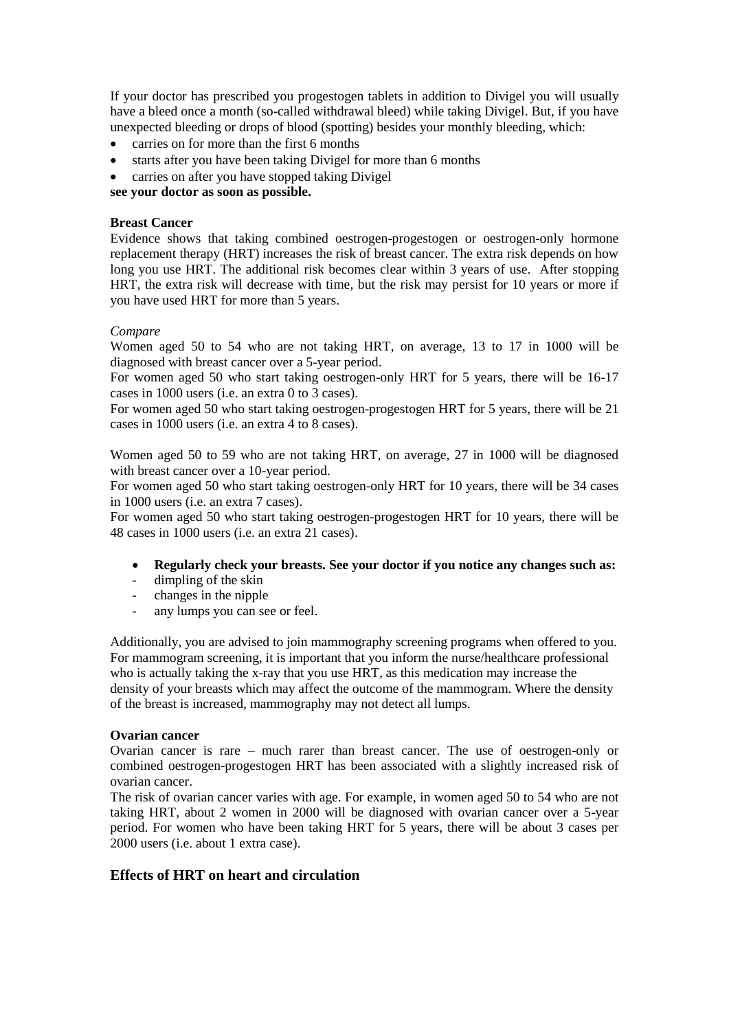If your doctor has prescribed you progestogen tablets in addition to Divigel you will usually have a bleed once a month (so-called withdrawal bleed) while taking Divigel. But, if you have unexpected bleeding or drops of blood (spotting) besides your monthly bleeding, which:

- carries on for more than the first 6 months
- starts after you have been taking Divigel for more than 6 months
- carries on after you have stopped taking Divigel

**see your doctor as soon as possible.**

### **Breast Cancer**

Evidence shows that taking combined oestrogen-progestogen or oestrogen-only hormone replacement therapy (HRT) increases the risk of breast cancer. The extra risk depends on how long you use HRT. The additional risk becomes clear within 3 years of use. After stopping HRT, the extra risk will decrease with time, but the risk may persist for 10 years or more if you have used HRT for more than 5 years.

#### *Compare*

Women aged 50 to 54 who are not taking HRT, on average, 13 to 17 in 1000 will be diagnosed with breast cancer over a 5-year period.

For women aged 50 who start taking oestrogen-only HRT for 5 years, there will be 16-17 cases in 1000 users (i.e. an extra 0 to 3 cases).

For women aged 50 who start taking oestrogen-progestogen HRT for 5 years, there will be 21 cases in 1000 users (i.e. an extra 4 to 8 cases).

Women aged 50 to 59 who are not taking HRT, on average, 27 in 1000 will be diagnosed with breast cancer over a 10-year period.

For women aged 50 who start taking oestrogen-only HRT for 10 years, there will be 34 cases in 1000 users (i.e. an extra 7 cases).

For women aged 50 who start taking oestrogen-progestogen HRT for 10 years, there will be 48 cases in 1000 users (i.e. an extra 21 cases).

- **Regularly check your breasts. See your doctor if you notice any changes such as:**
- dimpling of the skin
- changes in the nipple
- any lumps you can see or feel.

Additionally, you are advised to join mammography screening programs when offered to you. For mammogram screening, it is important that you inform the nurse/healthcare professional who is actually taking the x-ray that you use HRT, as this medication may increase the density of your breasts which may affect the outcome of the mammogram. Where the density of the breast is increased, mammography may not detect all lumps.

#### **Ovarian cancer**

Ovarian cancer is rare – much rarer than breast cancer. The use of oestrogen-only or combined oestrogen-progestogen HRT has been associated with a slightly increased risk of ovarian cancer.

The risk of ovarian cancer varies with age. For example, in women aged 50 to 54 who are not taking HRT, about 2 women in 2000 will be diagnosed with ovarian cancer over a 5-year period. For women who have been taking HRT for 5 years, there will be about 3 cases per 2000 users (i.e. about 1 extra case).

### **Effects of HRT on heart and circulation**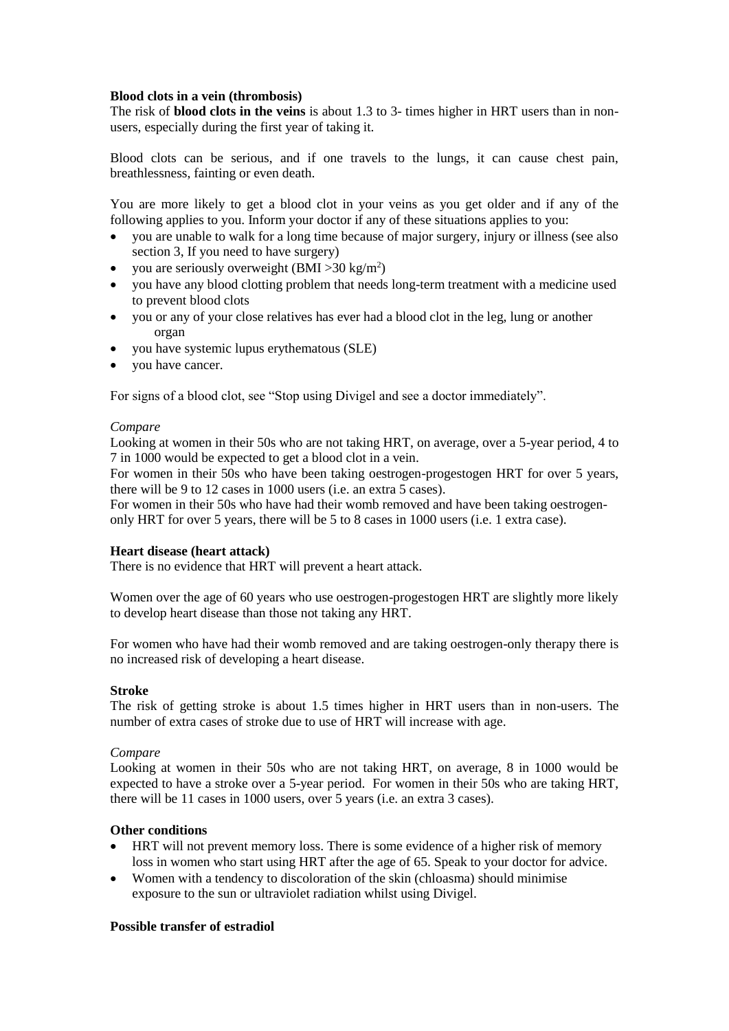### **Blood clots in a vein (thrombosis)**

The risk of **blood clots in the veins** is about 1.3 to 3- times higher in HRT users than in nonusers, especially during the first year of taking it.

Blood clots can be serious, and if one travels to the lungs, it can cause chest pain, breathlessness, fainting or even death.

You are more likely to get a blood clot in your veins as you get older and if any of the following applies to you. Inform your doctor if any of these situations applies to you:

- you are unable to walk for a long time because of major surgery, injury or illness (see also section 3, If you need to have surgery)
- you are seriously overweight  $(BMI > 30 \text{ kg/m}^2)$
- you have any blood clotting problem that needs long-term treatment with a medicine used to prevent blood clots
- you or any of your close relatives has ever had a blood clot in the leg, lung or another organ
- you have systemic lupus erythematous (SLE)
- you have cancer.

For signs of a blood clot, see "Stop using Divigel and see a doctor immediately".

#### *Compare*

Looking at women in their 50s who are not taking HRT, on average, over a 5-year period, 4 to 7 in 1000 would be expected to get a blood clot in a vein.

For women in their 50s who have been taking oestrogen-progestogen HRT for over 5 years, there will be 9 to 12 cases in 1000 users (i.e. an extra 5 cases).

For women in their 50s who have had their womb removed and have been taking oestrogenonly HRT for over 5 years, there will be 5 to 8 cases in 1000 users (i.e. 1 extra case).

### **Heart disease (heart attack)**

There is no evidence that HRT will prevent a heart attack.

Women over the age of 60 years who use oestrogen-progestogen HRT are slightly more likely to develop heart disease than those not taking any HRT.

For women who have had their womb removed and are taking oestrogen-only therapy there is no increased risk of developing a heart disease.

### **Stroke**

The risk of getting stroke is about 1.5 times higher in HRT users than in non-users. The number of extra cases of stroke due to use of HRT will increase with age.

### *Compare*

Looking at women in their 50s who are not taking HRT, on average, 8 in 1000 would be expected to have a stroke over a 5-year period. For women in their 50s who are taking HRT, there will be 11 cases in 1000 users, over 5 years (i.e. an extra 3 cases).

## **Other conditions**

- HRT will not prevent memory loss. There is some evidence of a higher risk of memory loss in women who start using HRT after the age of 65. Speak to your doctor for advice.
- Women with a tendency to discoloration of the skin (chloasma) should minimise exposure to the sun or ultraviolet radiation whilst using Divigel.

### **Possible transfer of estradiol**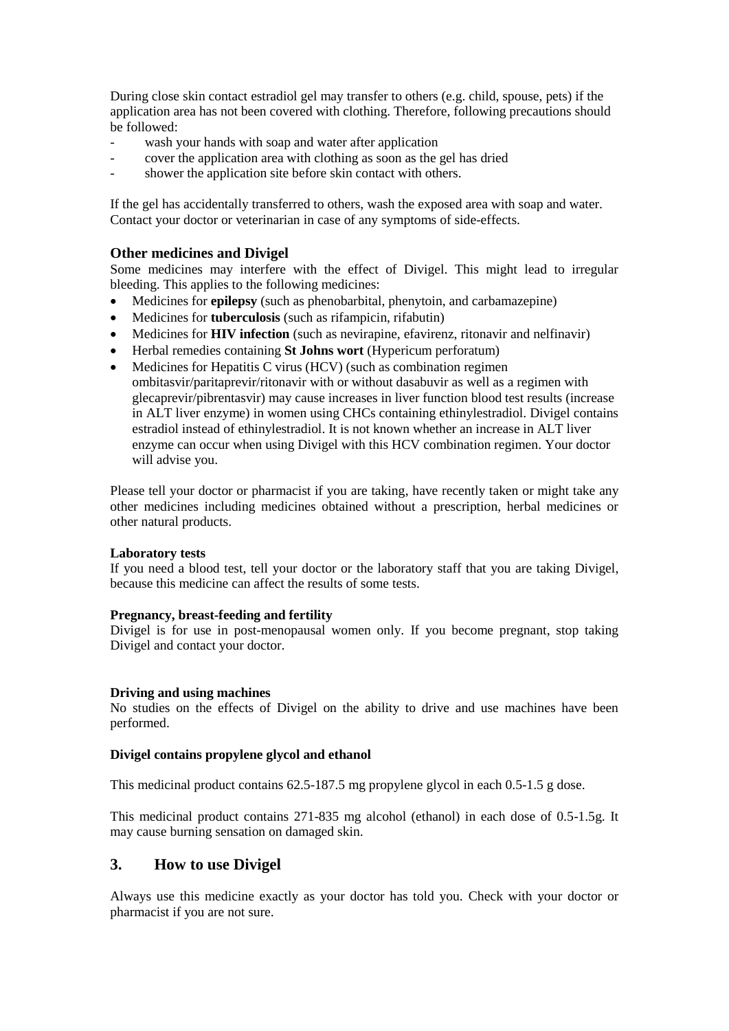During close skin contact estradiol gel may transfer to others (e.g. child, spouse, pets) if the application area has not been covered with clothing. Therefore, following precautions should be followed:

- wash your hands with soap and water after application
- cover the application area with clothing as soon as the gel has dried
- shower the application site before skin contact with others.

If the gel has accidentally transferred to others, wash the exposed area with soap and water. Contact your doctor or veterinarian in case of any symptoms of side-effects.

## **Other medicines and Divigel**

Some medicines may interfere with the effect of Divigel. This might lead to irregular bleeding. This applies to the following medicines:

- Medicines for **epilepsy** (such as phenobarbital, phenytoin, and carbamazepine)
- Medicines for **tuberculosis** (such as rifampicin, rifabutin)
- Medicines for **HIV infection** (such as nevirapine, efavirenz, ritonavir and nelfinavir)
- Herbal remedies containing **St Johns wort** (Hypericum perforatum)
- Medicines for Hepatitis C virus (HCV) (such as combination regimen ombitasvir/paritaprevir/ritonavir with or without dasabuvir as well as a regimen with glecaprevir/pibrentasvir) may cause increases in liver function blood test results (increase in ALT liver enzyme) in women using CHCs containing ethinylestradiol. Divigel contains estradiol instead of ethinylestradiol. It is not known whether an increase in ALT liver enzyme can occur when using Divigel with this HCV combination regimen. Your doctor will advise you.

Please tell your doctor or pharmacist if you are taking, have recently taken or might take any other medicines including medicines obtained without a prescription, herbal medicines or other natural products.

### **Laboratory tests**

If you need a blood test, tell your doctor or the laboratory staff that you are taking Divigel, because this medicine can affect the results of some tests.

### **Pregnancy, breast-feeding and fertility**

Divigel is for use in post-menopausal women only. If you become pregnant, stop taking Divigel and contact your doctor.

### **Driving and using machines**

No studies on the effects of Divigel on the ability to drive and use machines have been performed.

### **Divigel contains propylene glycol and ethanol**

This medicinal product contains 62.5-187.5 mg propylene glycol in each 0.5-1.5 g dose.

This medicinal product contains 271-835 mg alcohol (ethanol) in each dose of 0.5-1.5g. It may cause burning sensation on damaged skin.

# **3. How to use Divigel**

Always use this medicine exactly as your doctor has told you. Check with your doctor or pharmacist if you are not sure.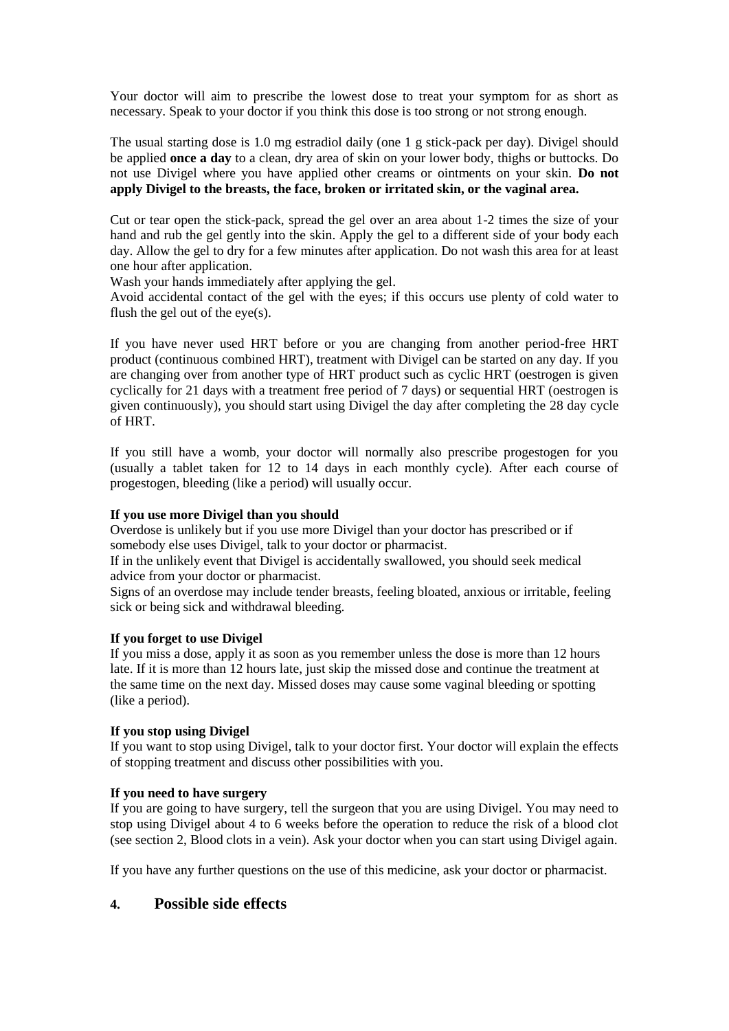Your doctor will aim to prescribe the lowest dose to treat your symptom for as short as necessary. Speak to your doctor if you think this dose is too strong or not strong enough.

The usual starting dose is 1.0 mg estradiol daily (one 1 g stick-pack per day). Divigel should be applied **once a day** to a clean, dry area of skin on your lower body, thighs or buttocks. Do not use Divigel where you have applied other creams or ointments on your skin. **Do not apply Divigel to the breasts, the face, broken or irritated skin, or the vaginal area.**

Cut or tear open the stick-pack, spread the gel over an area about 1-2 times the size of your hand and rub the gel gently into the skin. Apply the gel to a different side of your body each day. Allow the gel to dry for a few minutes after application. Do not wash this area for at least one hour after application.

Wash your hands immediately after applying the gel.

Avoid accidental contact of the gel with the eyes; if this occurs use plenty of cold water to flush the gel out of the eye(s).

If you have never used HRT before or you are changing from another period-free HRT product (continuous combined HRT), treatment with Divigel can be started on any day. If you are changing over from another type of HRT product such as cyclic HRT (oestrogen is given cyclically for 21 days with a treatment free period of 7 days) or sequential HRT (oestrogen is given continuously), you should start using Divigel the day after completing the 28 day cycle of HRT.

If you still have a womb, your doctor will normally also prescribe progestogen for you (usually a tablet taken for 12 to 14 days in each monthly cycle). After each course of progestogen, bleeding (like a period) will usually occur.

#### **If you use more Divigel than you should**

Overdose is unlikely but if you use more Divigel than your doctor has prescribed or if somebody else uses Divigel, talk to your doctor or pharmacist.

If in the unlikely event that Divigel is accidentally swallowed, you should seek medical advice from your doctor or pharmacist.

Signs of an overdose may include tender breasts, feeling bloated, anxious or irritable, feeling sick or being sick and withdrawal bleeding.

#### **If you forget to use Divigel**

If you miss a dose, apply it as soon as you remember unless the dose is more than 12 hours late. If it is more than 12 hours late, just skip the missed dose and continue the treatment at the same time on the next day. Missed doses may cause some vaginal bleeding or spotting (like a period).

### **If you stop using Divigel**

If you want to stop using Divigel, talk to your doctor first. Your doctor will explain the effects of stopping treatment and discuss other possibilities with you.

### **If you need to have surgery**

If you are going to have surgery, tell the surgeon that you are using Divigel. You may need to stop using Divigel about 4 to 6 weeks before the operation to reduce the risk of a blood clot (see section 2, Blood clots in a vein). Ask your doctor when you can start using Divigel again.

If you have any further questions on the use of this medicine, ask your doctor or pharmacist.

# **4. Possible side effects**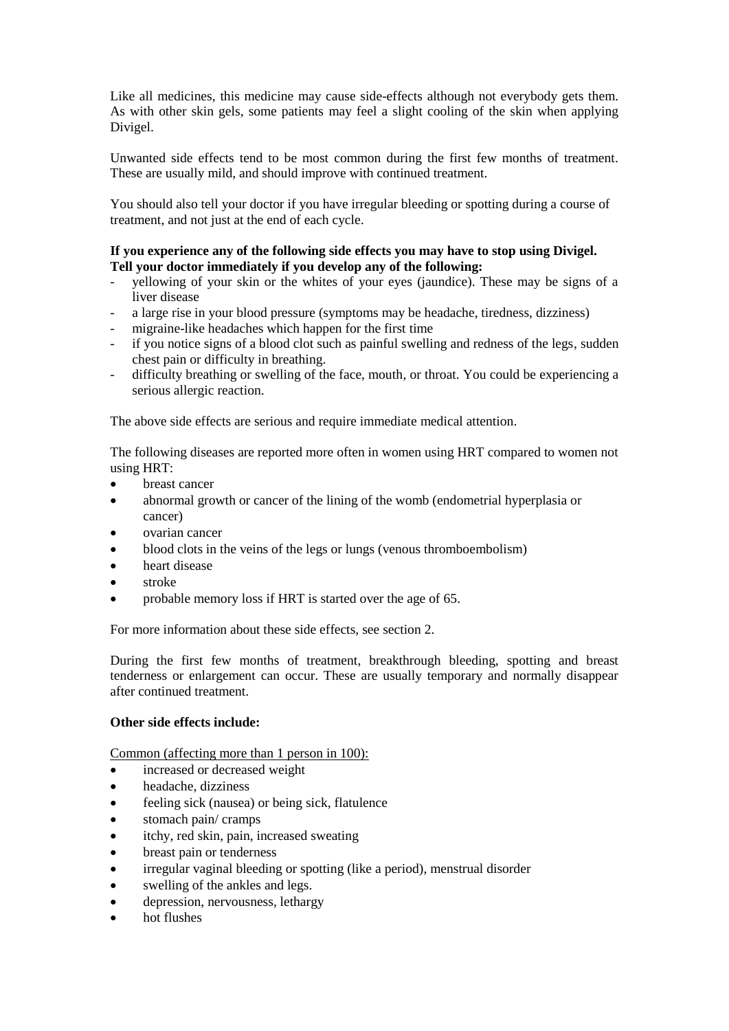Like all medicines, this medicine may cause side-effects although not everybody gets them. As with other skin gels, some patients may feel a slight cooling of the skin when applying Divigel.

Unwanted side effects tend to be most common during the first few months of treatment. These are usually mild, and should improve with continued treatment.

You should also tell your doctor if you have irregular bleeding or spotting during a course of treatment, and not just at the end of each cycle.

### **If you experience any of the following side effects you may have to stop using Divigel. Tell your doctor immediately if you develop any of the following:**

- yellowing of your skin or the whites of your eyes (jaundice). These may be signs of a liver disease
- a large rise in your blood pressure (symptoms may be headache, tiredness, dizziness)
- migraine-like headaches which happen for the first time
- if you notice signs of a blood clot such as painful swelling and redness of the legs, sudden chest pain or difficulty in breathing.
- difficulty breathing or swelling of the face, mouth, or throat. You could be experiencing a serious allergic reaction.

The above side effects are serious and require immediate medical attention.

The following diseases are reported more often in women using HRT compared to women not using HRT:

- breast cancer
- abnormal growth or cancer of the lining of the womb (endometrial hyperplasia or cancer)
- ovarian cancer
- blood clots in the veins of the legs or lungs (venous thromboembolism)
- heart disease
- stroke
- probable memory loss if HRT is started over the age of 65.

For more information about these side effects, see section 2.

During the first few months of treatment, breakthrough bleeding, spotting and breast tenderness or enlargement can occur. These are usually temporary and normally disappear after continued treatment.

#### **Other side effects include:**

Common (affecting more than 1 person in 100):

- increased or decreased weight
- headache, dizziness
- feeling sick (nausea) or being sick, flatulence
- stomach pain/ cramps
- itchy, red skin, pain, increased sweating
- breast pain or tenderness
- irregular vaginal bleeding or spotting (like a period), menstrual disorder
- swelling of the ankles and legs.
- depression, nervousness, lethargy
- hot flushes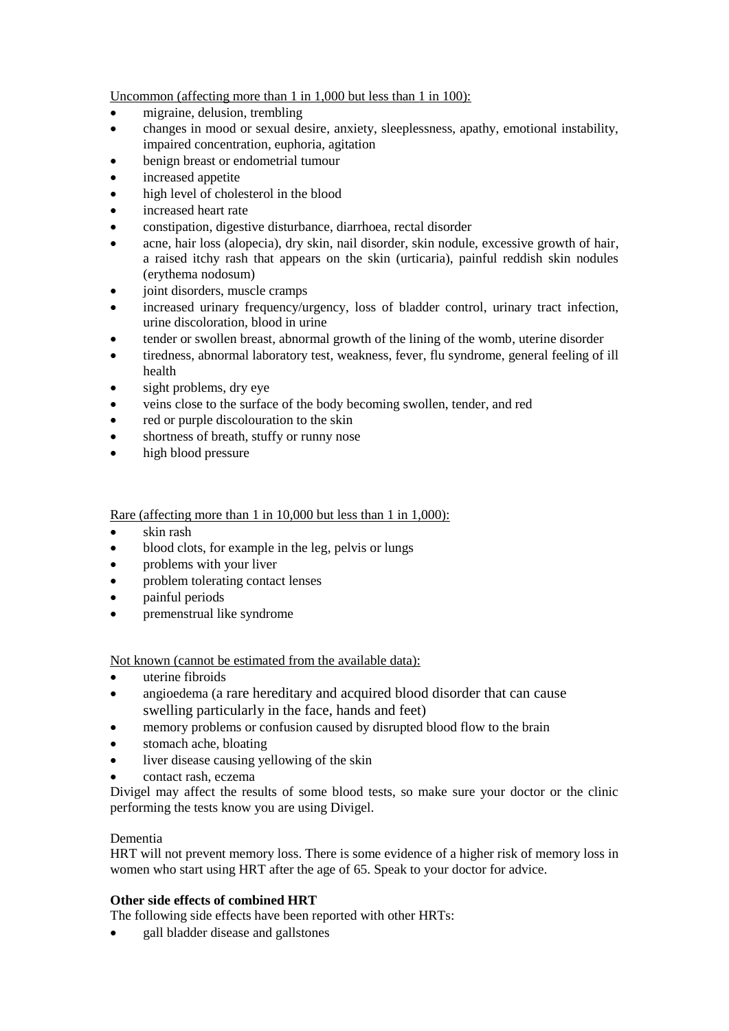Uncommon (affecting more than 1 in 1,000 but less than 1 in 100):

- migraine, delusion, trembling
- changes in mood or sexual desire, anxiety, sleeplessness, apathy, emotional instability, impaired concentration, euphoria, agitation
- benign breast or endometrial tumour
- increased appetite
- high level of cholesterol in the blood
- increased heart rate
- constipation, digestive disturbance, diarrhoea, rectal disorder
- acne, hair loss (alopecia), dry skin, nail disorder, skin nodule, excessive growth of hair, a raised itchy rash that appears on the skin (urticaria), painful reddish skin nodules (erythema nodosum)
- joint disorders, muscle cramps
- increased urinary frequency/urgency, loss of bladder control, urinary tract infection, urine discoloration, blood in urine
- tender or swollen breast, abnormal growth of the lining of the womb, uterine disorder
- tiredness, abnormal laboratory test, weakness, fever, flu syndrome, general feeling of ill health
- sight problems, dry eye
- veins close to the surface of the body becoming swollen, tender, and red
- red or purple discolouration to the skin
- shortness of breath, stuffy or runny nose
- high blood pressure

# Rare (affecting more than 1 in 10,000 but less than 1 in 1,000):

- skin rash
- blood clots, for example in the leg, pelvis or lungs
- problems with your liver
- problem tolerating contact lenses
- painful periods
- premenstrual like syndrome

Not known (cannot be estimated from the available data):

- uterine fibroids
- angioedema (a rare hereditary and acquired blood disorder that can cause swelling particularly in the face, hands and feet)
- memory problems or confusion caused by disrupted blood flow to the brain
- stomach ache, bloating
- liver disease causing yellowing of the skin
- contact rash, eczema

Divigel may affect the results of some blood tests, so make sure your doctor or the clinic performing the tests know you are using Divigel.

# Dementia

HRT will not prevent memory loss. There is some evidence of a higher risk of memory loss in women who start using HRT after the age of 65. Speak to your doctor for advice.

# **Other side effects of combined HRT**

The following side effects have been reported with other HRTs:

• gall bladder disease and gallstones